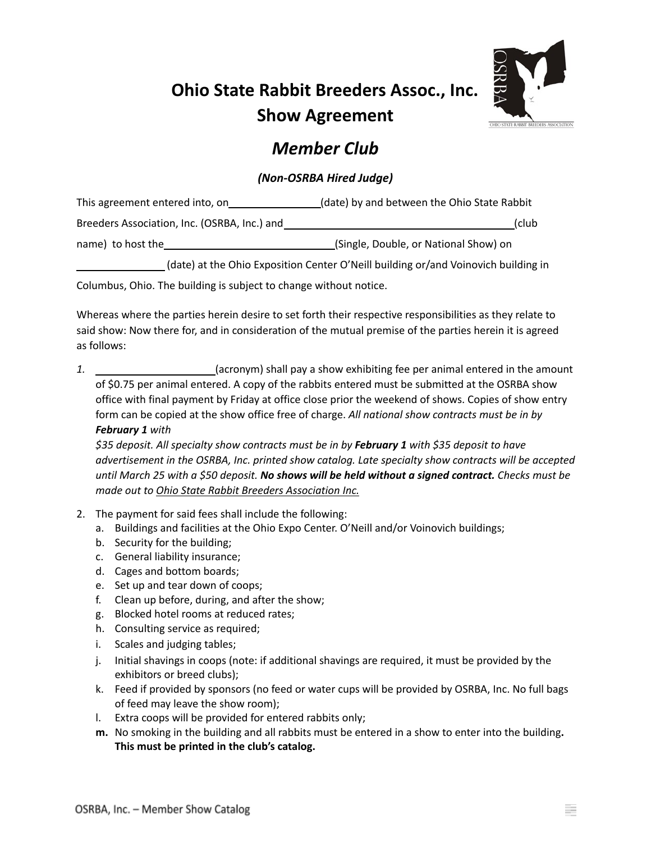## **Ohio State Rabbit Breeders Assoc., Inc. Show Agreement**



## *Member Club*

## *(Non-OSRBA Hired Judge)*

| This agreement entered into, on              | (date) by and between the Ohio State Rabbit |  |  |
|----------------------------------------------|---------------------------------------------|--|--|
| Breeders Association, Inc. (OSRBA, Inc.) and | (club                                       |  |  |
| name) to host the                            | (Single, Double, or National Show) on       |  |  |

(date) at the Ohio Exposition Center O'Neill building or/and Voinovich building in

Columbus, Ohio. The building is subject to change without notice.

Whereas where the parties herein desire to set forth their respective responsibilities as they relate to said show: Now there for, and in consideration of the mutual premise of the parties herein it is agreed as follows:

*1.* (acronym) shall pay a show exhibiting fee per animal entered in the amount of \$0.75 per animal entered. A copy of the rabbits entered must be submitted at the OSRBA show office with final payment by Friday at office close prior the weekend of shows. Copies of show entry form can be copied at the show office free of charge. *All national show contracts must be in by February 1 with*

*\$35 deposit. All specialty show contracts must be in by February 1 with \$35 deposit to have advertisement in the OSRBA, Inc. printed show catalog. Late specialty show contracts will be accepted* until March 25 with a \$50 deposit. No shows will be held without a signed contract. Checks must be *made out to Ohio State Rabbit Breeders Association Inc.*

- 2. The payment for said fees shall include the following:
	- a. Buildings and facilities at the Ohio Expo Center. O'Neill and/or Voinovich buildings;
	- b. Security for the building;
	- c. General liability insurance;
	- d. Cages and bottom boards;
	- e. Set up and tear down of coops;
	- f. Clean up before, during, and after the show;
	- g. Blocked hotel rooms at reduced rates;
	- h. Consulting service as required;
	- i. Scales and judging tables;
	- j. Initial shavings in coops (note: if additional shavings are required, it must be provided by the exhibitors or breed clubs);
	- k. Feed if provided by sponsors (no feed or water cups will be provided by OSRBA, Inc. No full bags of feed may leave the show room);
	- l. Extra coops will be provided for entered rabbits only;
	- **m.** No smoking in the building and all rabbits must be entered in a show to enter into the building**. This must be printed in the club's catalog.**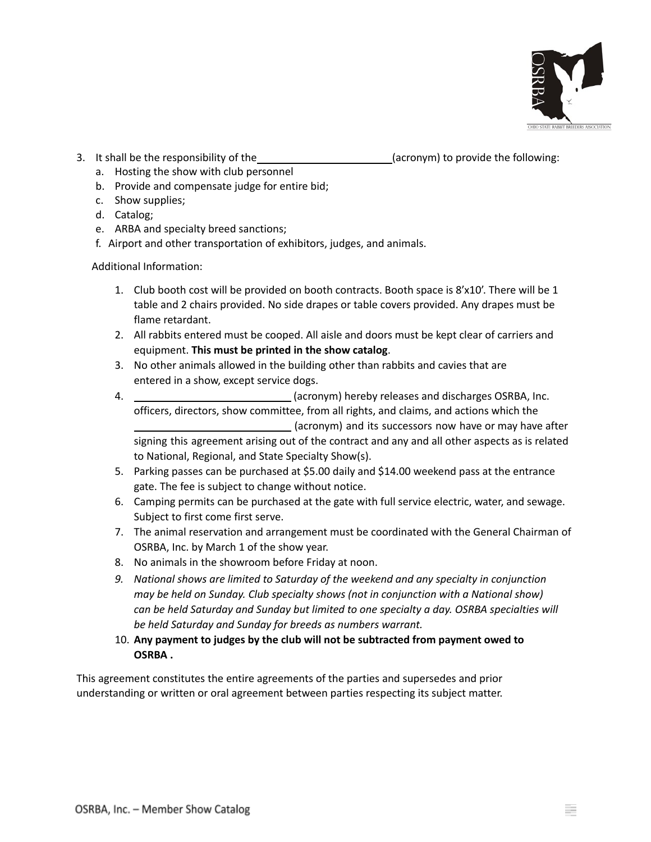

3. It shall be the responsibility of the (acronym) to provide the following:

- a. Hosting the show with club personnel b. Provide and compensate judge for entire bid;
- c. Show supplies;
- d. Catalog;
- e. ARBA and specialty breed sanctions;
- f. Airport and other transportation of exhibitors, judges, and animals.

Additional Information:

- 1. Club booth cost will be provided on booth contracts. Booth space is 8'x10'. There will be 1 table and 2 chairs provided. No side drapes or table covers provided. Any drapes must be flame retardant.
- 2. All rabbits entered must be cooped. All aisle and doors must be kept clear of carriers and equipment. **This must be printed in the show catalog**.
- 3. No other animals allowed in the building other than rabbits and cavies that are entered in a show, except service dogs.
- 4. (acronym) hereby releases and discharges OSRBA, Inc. officers, directors, show committee, from all rights, and claims, and actions which the (acronym) and its successors now have or may have after signing this agreement arising out of the contract and any and all other aspects as is related to National, Regional, and State Specialty Show(s).
- 5. Parking passes can be purchased at \$5.00 daily and \$14.00 weekend pass at the entrance gate. The fee is subject to change without notice.
- 6. Camping permits can be purchased at the gate with full service electric, water, and sewage. Subject to first come first serve.
- 7. The animal reservation and arrangement must be coordinated with the General Chairman of OSRBA, Inc. by March 1 of the show year.
- 8. No animals in the showroom before Friday at noon.
- *9. National shows are limited to Saturday of the weekend and any specialty in conjunction may be held on Sunday. Club specialty shows (not in conjunction with a National show) can be held Saturday and Sunday but limited to one specialty a day. OSRBA specialties will be held Saturday and Sunday for breeds as numbers warrant.*
- 10. **Any payment to judges by the club will not be subtracted from payment owed to OSRBA .**

This agreement constitutes the entire agreements of the parties and supersedes and prior understanding or written or oral agreement between parties respecting its subject matter.